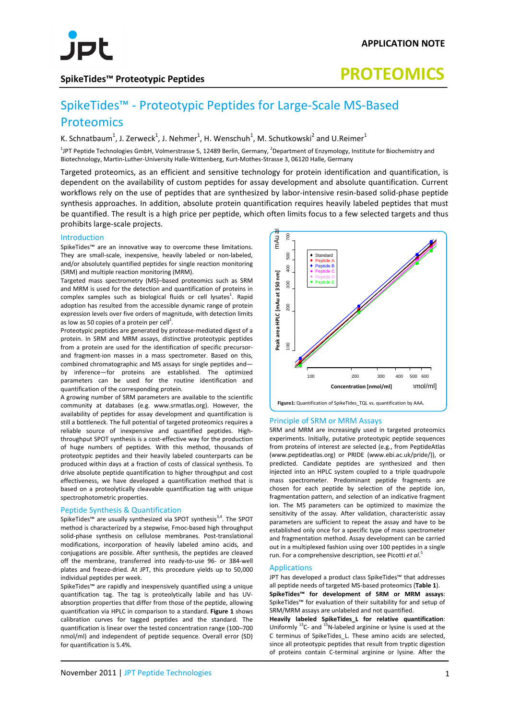

## **SpikeTides™ Proteotypic Peptides**

# **PROTEOMICS**

## SpikeTides™ - Proteotypic Peptides for Large-Scale MS-Based **Proteomics**

K. Schnatbaum<sup>1</sup>, J. Zerweck<sup>1</sup>, J. Nehmer<sup>1</sup>, H. Wenschuh<sup>1</sup>, M. Schutkowski<sup>2</sup> and U.Reimer<sup>1</sup>

<sup>1</sup>JPT Peptide Technologies GmbH, Volmerstrasse 5, 12489 Berlin, Germany, <sup>2</sup>Department of Enzymology, Institute for Biochemistry and Biotechnology, Martin-Luther-University Halle-Wittenberg, Kurt-Mothes-Strasse 3, 06120 Halle, Germany

Targeted proteomics, as an efficient and sensitive technology for protein identification and quantification, is dependent on the availability of custom peptides for assay development and absolute quantification. Current workflows rely on the use of peptides that are synthesized by labor-intensive resin-based solid-phase peptide synthesis approaches. In addition, absolute protein quantification requires heavily labeled peptides that must be quantified. The result is a high price per peptide, which often limits focus to a few selected targets and thus prohibits large-scale projects.

## Introduction

SpikeTides™ are an innovative way to overcome these limitations. They are small-scale, inexpensive, heavily labeled or non-labeled, and/or absolutely quantified peptides for single reaction monitoring (SRM) and multiple reaction monitoring (MRM).

Targeted mass spectrometry (MS)–based proteomics such as SRM and MRM is used for the detection and quantification of proteins in complex samples such as biological fluids or cell lysates $^1$ . Rapid adoption has resulted from the accessible dynamic range of protein expression levels over five orders of magnitude, with detection limits as low as 50 copies of a protein per cell<sup>2</sup>.

Proteotypic peptides are generated by protease-mediated digest of a protein. In SRM and MRM assays, distinctive proteotypic peptides from a protein are used for the identification of specific precursorand fragment-ion masses in a mass spectrometer. Based on this, combined chromatographic and MS assays for single peptides and by inference—for proteins are established. The optimized parameters can be used for the routine identification and quantification of the corresponding protein.

A growing number of SRM parameters are available to the scientific community at databases (e.g. www.srmatlas.org). However, the availability of peptides for assay development and quantification is still a bottleneck. The full potential of targeted proteomics requires a reliable source of inexpensive and quantified peptides. Highthroughput SPOT synthesis is a cost-effective way for the production of huge numbers of peptides. With this method, thousands of proteotypic peptides and their heavily labeled counterparts can be produced within days at a fraction of costs of classical synthesis. To drive absolute peptide quantification to higher throughput and cost effectiveness, we have developed a quantification method that is based on a proteolytically cleavable quantification tag with unique spectrophotometric properties.

## Peptide Synthesis & Quantification

SpikeTides™ are usually synthesized via SPOT synthesis<sup>3,4</sup>. The SPOT method is characterized by a stepwise, Fmoc-based high throughput solid-phase synthesis on cellulose membranes. Post-translational modifications, incorporation of heavily labeled amino acids, and conjugations are possible. After synthesis, the peptides are cleaved off the membrane, transferred into ready-to-use 96- or 384-well plates and freeze-dried. At JPT, this procedure yields up to 50,000 individual peptides per week.

SpikeTides™ are rapidly and inexpensively quantified using a unique quantification tag. The tag is proteolytically labile and has UVabsorption properties that differ from those of the peptide, allowing quantification via HPLC in comparison to a standard. **Figure 1** shows calibration curves for tagged peptides and the standard. The quantification is linear over the tested concentration range (100–700 nmol/ml) and independent of peptide sequence. Overall error (SD) for quantification is 5.4%.



## Principle of SRM or MRM Assays

SRM and MRM are increasingly used in targeted proteomics experiments. Initially, putative proteotypic peptide sequences from proteins of interest are selected (e.g., from PeptideAtlas (www.peptideatlas.org) or PRIDE (www.ebi.ac.uk/pride/)), or predicted. Candidate peptides are synthesized and then injected into an HPLC system coupled to a triple quadrupole mass spectrometer. Predominant peptide fragments are chosen for each peptide by selection of the peptide ion, fragmentation pattern, and selection of an indicative fragment ion. The MS parameters can be optimized to maximize the sensitivity of the assay. After validation, characteristic assay parameters are sufficient to repeat the assay and have to be established only once for a specific type of mass spectrometer and fragmentation method. Assay development can be carried out in a multiplexed fashion using over 100 peptides in a single run. For a comprehensive description, see Picotti *et al*. 5

## Applications

JPT has developed a product class SpikeTides™ that addresses all peptide needs of targeted MS-based proteomics (**Table 1**). **SpikeTides™ for development of SRM or MRM assays**: SpikeTides™ for evaluation of their suitability for and setup of SRM/MRM assays are unlabeled and not quantified.

**Heavily labeled SpikeTides\_L for relative quantification**: Uniformly  $^{13}$ C- and  $^{15}$ N-labeled arginine or lysine is used at the C terminus of SpikeTides\_L. These amino acids are selected, since all proteotypic peptides that result from tryptic digestion of proteins contain C-terminal arginine or lysine. After the